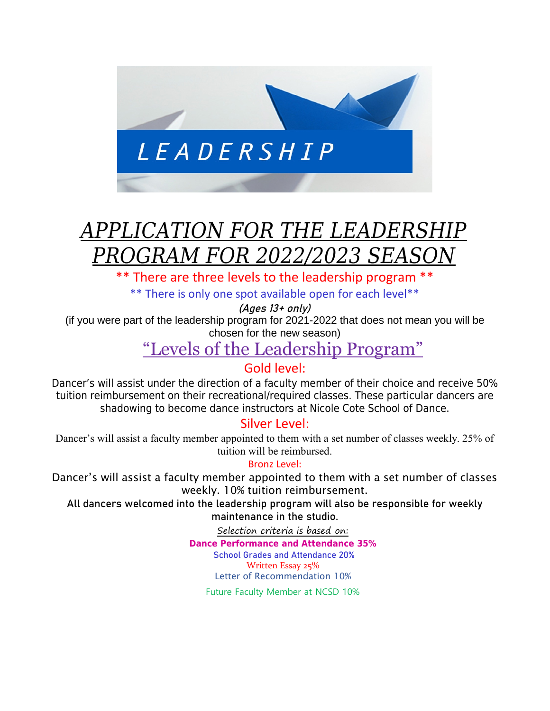

# *APPLICATION FOR THE LEADERSHIP PROGRAM FOR 2022/2023 SEASO*

There are three levels to the leadership program \*\*

\*\* There is only one spot available open for each level\*\*

(Ages 13+ only)

(if you were part of the leadership program for 2021-2022 that does not mean you will be chosen for the new season)

"Levels of the Leadership Program"

### Gold level:

Dancer's will assist under the direction of a faculty member of their choice and receive 50% tuition reimbursement on their recreational/required classes. These particular dancers are shadowing to become dance instructors at Nicole Cote School of Dance.

### Silver Level:

Dancer's will assist a faculty member appointed to them with a set number of classes weekly. 25% of tuition will be reimbursed.

#### Bronz Level:

Dancer's will assist a faculty member appointed to them with a set number of classes weekly. 10% tuition reimbursement.

All dancers welcomed into the leadership program will also be responsible for weekly maintenance in the studio.

Selection criteria is based on:

**Dance Performance and Attendance 35%**

 School Grades and Attendance 20% Written Essay 25%

Letter of Recommendation 10%

Future Faculty Member at NCSD 10%